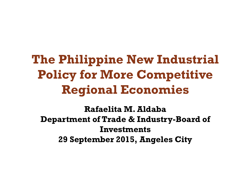## **The Philippine New Industrial Policy for More Competitive Regional Economies**

**Rafaelita M. Aldaba Department of Trade & Industry-Board of Investments 29 September 2015, Angeles City**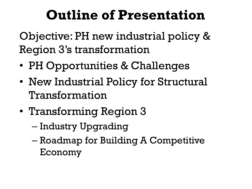# **Outline of Presentation**

Objective: PH new industrial policy & Region 3's transformation

- PH Opportunities & Challenges
- New Industrial Policy for Structural Transformation
- Transforming Region 3
	- Industry Upgrading
	- Roadmap for Building A Competitive Economy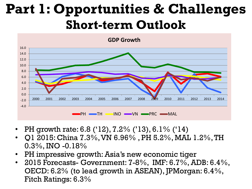## **Part 1: Opportunities & Challenges Short-term Outlook**



- PH growth rate: 6.8 ('12), 7.2% ('13), 6.1% ('14)
- Q1 2015: China 7.3%, VN 6.96% , PH 5.2%, MAL 1.2%, TH 0.3%, INO -0.18%
- PH impressive growth: Asia's new economic tiger
- 2015 Forecasts- Government: 7-8%, IMF: 6.7%, ADB: 6.4%, OECD: 6.2% (to lead growth in ASEAN), JPMorgan: 6.4%, Fitch Ratings: 6.3%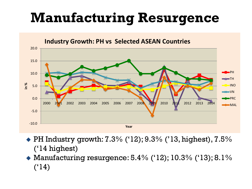# **Manufacturing Resurgence**



 $\blacktriangleright$  PH Industry growth: 7.3% ('12); 9.3% ('13, highest), 7.5% ('14 highest)

 Manufacturing resurgence: 5.4% ('12); 10.3% ('13); 8.1%  $(^{4}14)$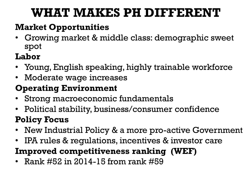### **WHAT MAKES PH DIFFERENT**

#### **Market Opportunities**

• Growing market & middle class: demographic sweet spot

### **Labor**

- Young, English speaking, highly trainable workforce
- Moderate wage increases

### **Operating Environment**

- Strong macroeconomic fundamentals
- Political stability, business/consumer confidence

### **Policy Focus**

- New Industrial Policy & a more pro-active Government
- IPA rules & regulations, incentives & investor care

### **Improved competitiveness ranking (WEF)**

• Rank #52 in 2014-15 from rank #59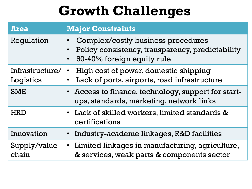# **Growth Challenges**

| <b>Area</b>                  | <b>Major Constraints</b>                                                                                                                       |
|------------------------------|------------------------------------------------------------------------------------------------------------------------------------------------|
| Regulation                   | Complex/costly business procedures<br>Policy consistency, transparency, predictability<br>$\bullet$<br>60-40% foreign equity rule<br>$\bullet$ |
| Infrastructure/<br>Logistics | High cost of power, domestic shipping<br>Lack of ports, airports, road infrastructure                                                          |
| <b>SME</b>                   | • Access to finance, technology, support for start-<br>ups, standards, marketing, network links                                                |
| <b>HRD</b>                   | • Lack of skilled workers, limited standards &<br>certifications                                                                               |
| Innovation                   | Industry-academe linkages, R&D facilities                                                                                                      |
| Supply/value<br>chain        | • Limited linkages in manufacturing, agriculture,<br>& services, weak parts & components sector                                                |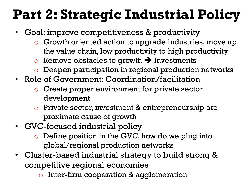# **Part 2: Strategic Industrial Policy**

- Goal: improve competitiveness & productivity
	- $\circ$  Growth oriented action to upgrade industries, move up the value chain, low productivity to high productivity
	- $\circ$  Remove obstacles to growth  $\rightarrow$  Investments
	- o Deepen participation in regional production networks
- Role of Government: Coordination/facilitation
	- $\circ$  Create proper environment for private sector development
	- $\circ$  Private sector, investment & entrepreneurship are proximate cause of growth
- GVC-focused industrial policy
	- $\circ$  Define position in the GVC, how do we plug into global/regional production networks
- Cluster-based industrial strategy to build strong & competitive regional economies
	- $\circ$  Inter-firm cooperation & agglomeration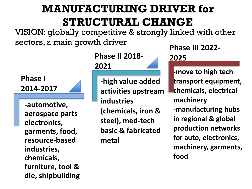### **MANUFACTURING DRIVER for STRUCTURAL CHANGE**

VISION: globally competitive & strongly linked with other sectors, a main growth driver

**Phase I 2014-2017**

**-automotive, aerospace parts electronics, garments, food, resource-based industries, chemicals, furniture, tool & die, shipbuilding** **Phase II 2018- 2021**

**-high value added activities upstream industries (chemicals, iron & steel), med-tech basic & fabricated metal** 

**Phase III 2022- 2025**

**-move to high tech transport equipment, chemicals, electrical machinery -manufacturing hubs in regional & global production networks for auto, electronics, machinery, garments, food**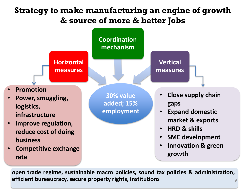#### **Strategy to make manufacturing an engine of growth & source of more & better Jobs**



**open trade regime, sustainable macro policies, sound tax policies & administration, efficient bureaucracy, secure property rights, institutions** <sup>9</sup>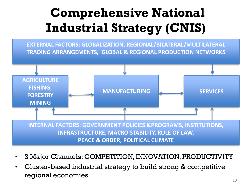## **Comprehensive National Industrial Strategy (CNIS)**

**EXTERNAL FACTORS: GLOBALIZATION, REGIONAL/BILATERAL/MULTILATERAL TRADING ARRANGEMENTS, GLOBAL & REGIONAL PRODUCTION NETWORKS**



- 3 Major Channels: COMPETITION, INNOVATION, PRODUCTIVITY
- Cluster-based industrial strategy to build strong & competitive regional economies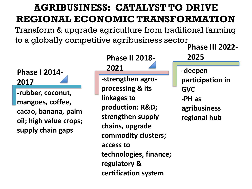### **AGRIBUSINESS: CATALYST TO DRIVE REGIONAL ECONOMIC TRANSFORMATION**

Transform & upgrade agriculture from traditional farming to a globally competitive agribusiness sector



**Phase II 2018- 2021**

**-strengthen agroprocessing & its linkages to production: R&D; strengthen supply chains, upgrade commodity clusters; access to technologies, finance; regulatory & certification system**

**-deepen participation in GVC -PH as agribusiness regional hub Phase III 2022- 2025**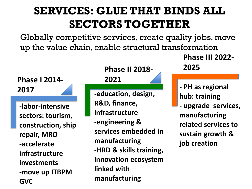### **SERVICES: GLUE THAT BINDS ALL SECTORS TOGETHER**

Globally competitive services, create quality jobs, move up the value chain, enable structural transformation

#### **Phase I 2014- 2017**

**-labor-intensive sectors: tourism, construction, ship repair, MRO -accelerate infrastructure investments -move up ITBPM GVC**

#### **Phase II 2018-**

#### **2021**

**-education, design, R&D, finance, infrastructure -engineering & services embedded in manufacturing -HRD & skills training, innovation ecosystem linked with manufacturing**

**Phase III 2022- 2025**

**- PH as regional hub: training - upgrade services, manufacturing related services to sustain growth & job creation**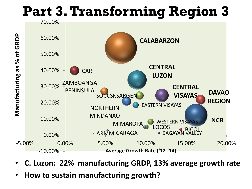# **Part 3.Transforming Region 3**



- **C. Luzon: 22% manufacturing GRDP, 13% average growth rate**
- **How to sustain manufacturing growth?**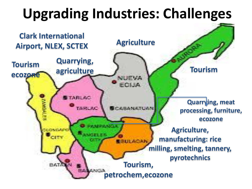# **Upgrading Industries: Challenges**

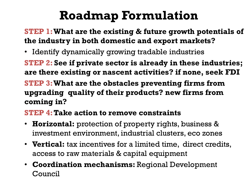## **Roadmap Formulation**

#### **STEP 1: What are the existing & future growth potentials of the industry in both domestic and export markets?**

• Identify dynamically growing tradable industries

**STEP 2: See if private sector is already in these industries; are there existing or nascent activities? if none, seek FDI** 

**STEP 3:What are the obstacles preventing firms from upgrading quality of their products? new firms from coming in?**

#### **STEP 4:Take action to remove constraints**

- **Horizontal:** protection of property rights, business & investment environment, industrial clusters, eco zones
- **Vertical:** tax incentives for a limited time, direct credits, access to raw materials & capital equipment
- **Coordination mechanisms:** Regional Development Council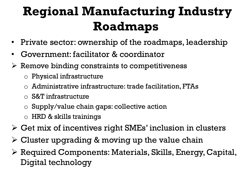## **Regional Manufacturing Industry Roadmaps**

- Private sector: ownership of the roadmaps, leadership
- Government: facilitator & coordinator
- $\triangleright$  Remove binding constraints to competitiveness
	- $\circ$  Physical infrastructure
	- $\circ$  Administrative infrastructure: trade facilitation, FTAs
	- o S&T infrastructure
	- o Supply/value chain gaps: collective action
	- $\circ$  HRD & skills trainings
- $\triangleright$  Get mix of incentives right SMEs' inclusion in clusters
- $\triangleright$  Cluster upgrading & moving up the value chain
- $\triangleright$  Required Components: Materials, Skills, Energy, Capital, Digital technology